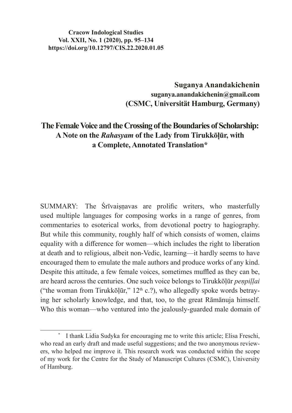#### **Cracow Indological Studies Vol. XXII, No. 1 (2020), pp. 95–134 https://doi.org/10.12797/CIS.22.2020.01.05**

**Suganya Anandakichenin suganya.anandakichenin@gmail.com (CSMC, Universität Hamburg, Germany)**

# **The Female Voice and the Crossing of the Boundaries of Scholarship: A Note on the** *Rahasyam* **of the Lady from Tirukkōḷūr, with a Complete, Annotated Translation\***

SUMMARY: The Śrīvaisnavas are prolific writers, who masterfully used multiple languages for composing works in a range of genres, from commentaries to esoterical works, from devotional poetry to hagiography. But while this community, roughly half of which consists of women, claims equality with a difference for women—which includes the right to liberation at death and to religious, albeit non-Vedic, learning—it hardly seems to have encouraged them to emulate the male authors and produce works of any kind. Despite this attitude, a few female voices, sometimes muffled as they can be, are heard across the centuries. One such voice belongs to Tirukkōḷūr *peṇpiḷḷai* ("the woman from Tirukkōḷūr,"  $12<sup>th</sup>$  c.?), who allegedly spoke words betraying her scholarly knowledge, and that, too, to the great Rāmānuja himself. Who this woman—who ventured into the jealously-guarded male domain of

I thank Lidia Sudyka for encouraging me to write this article; Elisa Freschi, who read an early draft and made useful suggestions; and the two anonymous reviewers, who helped me improve it. This research work was conducted within the scope of my work for the Centre for the Study of Manuscript Cultures (CSMC), University of Hamburg.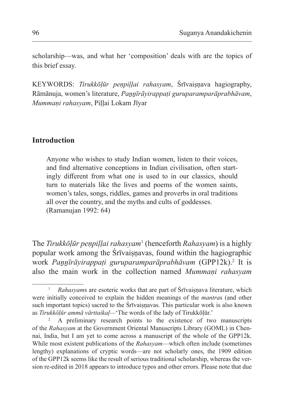scholarship—was, and what her 'composition' deals with are the topics of this brief essay.

KEYWORDS: *Tirukkōḷūr peṇpiḷḷai rahasyam*, Śrīvaiṣṇava hagiography, Rāmānuja, women's literature, *Paṉṉīrāyirappaṭi guruparamparāprabhāvam*, *Mummaṇi rahasyam*, Piḷḷai Lokam Jīyar

#### **Introduction**

Anyone who wishes to study Indian women, listen to their voices, and find alternative conceptions in Indian civilisation, often startingly different from what one is used to in our classics, should turn to materials like the lives and poems of the women saints, women's tales, songs, riddles, games and proverbs in oral traditions all over the country, and the myths and cults of goddesses. (Ramanujan 1992: 64)

The *Tirukkōḷūr peṇpiḷḷai rahasyam*<sup>1</sup> (henceforth *Rahasyam*) is a highly popular work among the Śrīvaisnavas, found within the hagiographic work *Paṉṉīrāyirappaṭi guruparamparāprabhāvam* (GPP12k).2 It is also the main work in the collection named *Mummaṇi rahasyam*

<sup>&</sup>lt;sup>1</sup> *Rahasyams* are esoteric works that are part of Śrīvaiṣṇava literature, which were initially conceived to explain the hidden meanings of the *mantra*s (and other such important topics) sacred to the Śrīvaiṣṇavas. This particular work is also known as *Tirukkōḷūr ammā vārttaikaḷ—*'The words of the lady of Tirukkōḷūr.'

<sup>2</sup> A preliminary research points to the existence of two manuscripts of the *Rahasyam* at the Government Oriental Manuscripts Library (GOML) in Chennai, India, but I am yet to come across a manuscript of the whole of the GPP12k. While most existent publications of the *Rahasyam*—which often include (sometimes lengthy) explanations of cryptic words—are not scholarly ones, the 1909 edition of the GPP12k seems like the result of serious traditional scholarship, whereas the version re-edited in 2018 appears to introduce typos and other errors. Please note that due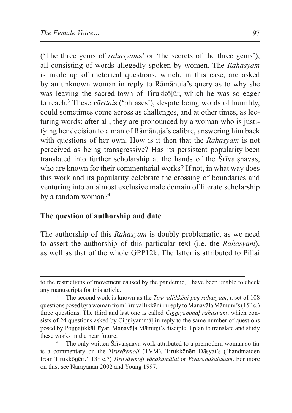('The three gems of *rahasyam*s' or 'the secrets of the three gems'), all consisting of words allegedly spoken by women. The *Rahasyam* is made up of rhetorical questions, which, in this case, are asked by an unknown woman in reply to Rāmānuja's query as to why she was leaving the sacred town of Tirukkōḷūr, which he was so eager to reach.3 These *vārttai*s ('phrases'), despite being words of humility, could sometimes come across as challenges, and at other times, as lecturing words: after all, they are pronounced by a woman who is justifying her decision to a man of Rāmānuja's calibre, answering him back with questions of her own. How is it then that the *Rahasyam* is not perceived as being transgressive? Has its persistent popularity been translated into further scholarship at the hands of the Srivaisnavas, who are known for their commentarial works? If not, in what way does this work and its popularity celebrate the crossing of boundaries and venturing into an almost exclusive male domain of literate scholarship by a random woman?<sup>4</sup>

#### **The question of authorship and date**

The authorship of this *Rahasyam* is doubly problematic, as we need to assert the authorship of this particular text (i.e. the *Rahasyam*), as well as that of the whole GPP12k. The latter is attributed to Piḷḷai

to the restrictions of movement caused by the pandemic, I have been unable to check any manuscripts for this article.

<sup>3</sup> The second work is known as the *Tiruvallikkēṇi peṇ rahasyam*, a set of 108 questions posed by a woman from Tiruvallikkēņi in reply to Maņavāļa Māmuni's (15<sup>th</sup> c.) three questions. The third and last one is called *Cinniyammāl rahasyam*, which consists of 24 questions asked by Cinnivammal in reply to the same number of questions posed by Ponnațikkāl Jīyar, Maṇavāḷa Māmuni's disciple. I plan to translate and study these works in the near future.

The only written Srīvaiṣṇava work attributed to a premodern woman so far is a commentary on the *Tiruvāymoḻi* (TVM), Tirukkōṉēri Dāsyai's ("handmaiden from Tirukkōṉēri," 13th c.?) *Tiruvāymoḻi vācakamālai* or *Vivaraṇaśatakam*. For more on this, see Narayanan 2002 and Young 1997.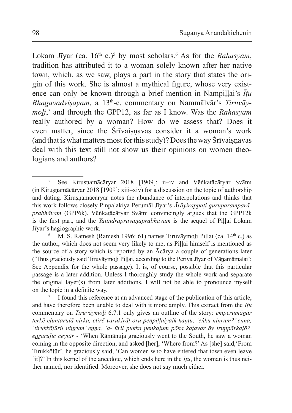Lokam Jīyar (ca. 16<sup>th</sup> c.)<sup>5</sup> by most scholars.<sup>6</sup> As for the *Rahasyam*, tradition has attributed it to a woman solely known after her native town, which, as we saw, plays a part in the story that states the origin of this work. She is almost a mythical figure, whose very existence can only be known through a brief mention in Nampillai's  $\bar{I}tu$ Bhagavadvisayam, a 13<sup>th</sup>-c. commentary on Nammālvār's Tiruvāy*moḻi*, 7 and through the GPP12, as far as I know. Was the *Rahasyam*  really authored by a woman? How do we assess that? Does it even matter, since the Śrīvaisnavas consider it a woman's work (and that is what matters most for this study)? Does the way Srīvaisnavas deal with this text still not show us their opinions on women theologians and authors?

<sup>&</sup>lt;sup>5</sup> See Kirusnamācāryar 2018 [1909]: ii–iv and Vēṅkatācāryar Svāmi (in Kiruṣṇamācāryar 2018 [1909]: xiii–xiv) for a discussion on the topic of authorship and dating. Kirusnamācāryar notes the abundance of interpolations and thinks that this work follows closely Piṉpaḻakiya Perumāḷ Jīyar's *Āṟāyirappaṭi guruparamparāprabhāvam* (GPP6k). Vēṅkaṭācāryar Svāmi convincingly argues that the GPP12k is the first part, and the *Yatīndrapravaṇaprabhāvam* is the sequel of Piḷḷai Lokam Jīyar's hagiographic work.

M. S. Ramesh (Ramesh 1996: 61) names Tiruvāymoli Piļļai (ca. 14<sup>th</sup> c.) as the author, which does not seem very likely to me, as Piḷḷai himself is mentioned as the source of a story which is reported by an Ācārya a couple of generations later ('Thus graciously said Tiruvāymoli Pillai, according to the Periya Jīyar of Vānamāmalai'; See Appendix for the whole passage). It is, of course, possible that this particular passage is a later addition. Unless I thoroughly study the whole work and separate the original layer(s) from later additions, I will not be able to pronounce myself on the topic in a definite way.

I found this reference at an advanced stage of the publication of this article, and have therefore been unable to deal with it more amply. This extract from the *Īṭu* commentary on *Tiruvāymoḻi* 6.7.1 only gives an outline of the story: *emperumāṉār teṟkē eḻuntaruḷā niṟka, etirē varukiṟāḷ oru peṇpiḷḷaiyaik kaṇṭu, 'eṅku niṉṟum?' eṉṉa, 'tirukkōḷūril niṉṟum' eṉṉa, 'a- ūril pukka peṇkaḷum pōka kaṭavar āy iruppārkaḷō?' eṉṟaruḷic ceytār* - 'When Rāmānuja graciously went to the South, he saw a woman coming in the opposite direction, and asked [her], 'Where from?' As [she] said,'From Tirukkōḷūr', he graciously said, 'Can women who have entered that town even leave [it]?' In this kernel of the anecdote, which ends here in the  $\bar{I}tu$ , the woman is thus neither named, nor identified. Moreover, she does not say much either.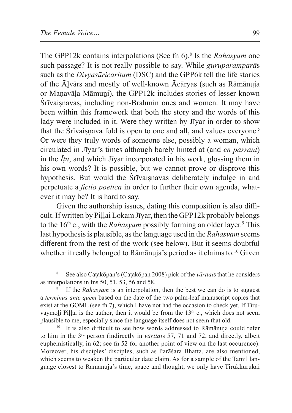The GPP12k contains interpolations (See fn 6).<sup>8</sup> Is the *Rahasyam* one such passage? It is not really possible to say. While *guruparamparā*s such as the *Divyasūricaritam* (DSC) and the GPP6k tell the life stories of the Āḻvārs and mostly of well-known Ācāryas (such as Rāmānuja or Manavāla Māmuni), the GPP12k includes stories of lesser known Śrīvaiṣṇavas, including non-Brahmin ones and women. It may have been within this framework that both the story and the words of this lady were included in it. Were they written by Jīyar in order to show that the Śrīvaisnava fold is open to one and all, and values everyone? Or were they truly words of someone else, possibly a woman, which circulated in Jīyar's times although barely hinted at (and *en passant*) in the *Īṭu*, and which Jīyar incorporated in his work, glossing them in his own words? It is possible, but we cannot prove or disprove this hypothesis. But would the Srīvaisnavas deliberately indulge in and perpetuate a *fictio poetica* in order to further their own agenda, whatever it may be? It is hard to say.

Given the authorship issues, dating this composition is also difficult. If written by Piḷḷai Lokam Jīyar, then the GPP12k probably belongs to the 16<sup>th</sup> c., with the *Rahasyam* possibly forming an older layer.<sup>9</sup> This last hypothesis is plausible, asthe language used in the *Rahasyam* seems different from the rest of the work (see below). But it seems doubtful whether it really belonged to Rāmānuja's period as it claims to.10 Given

<sup>8</sup> See also Caṭakōpaṉ's (Caṭakōpaṉ 2008) pick of the *vārttai*s that he considers as interpolations in fns 50, 51, 53, 56 and 58.

<sup>9</sup> If the *Rahasyam* is an interpolation, then the best we can do is to suggest a *terminus ante quem* based on the date of the two palm-leaf manuscript copies that exist at the GOML (see fn 7), which I have not had the occasion to check yet. If Tiruvāymoli Piļļai is the author, then it would be from the  $13<sup>th</sup>$  c., which does not seem plausible to me, especially since the language itself does not seem that old.

It is also difficult to see how words addressed to Rāmānuja could refer to him in the 3rd person (indirectly in *vārttai*s 57, 71 and 72, and directly, albeit euphemistically, in 62; see fn 52 for another point of view on the last occurence). Moreover, his disciples' disciples, such as Parāśara Bhaṭṭa, are also mentioned, which seems to weaken the particular date claim. As for a sample of the Tamil language closest to Rāmānuja's time, space and thought, we only have Tirukkurukai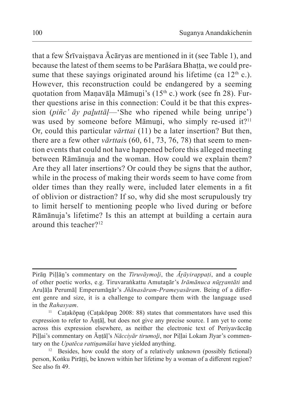that a few Srīvaiṣṇava Ācāryas are mentioned in it (see Table 1), and because the latest of them seems to be Parāśara Bhatta, we could presume that these sayings originated around his lifetime (ca  $12<sup>th</sup>$  c.). However, this reconstruction could be endangered by a seeming quotation from Manavāla Māmuni's (15<sup>th</sup> c.) work (see fn 28). Further questions arise in this connection: Could it be that this expression (*piñc' āy paḻuttāḷ*—'She who ripened while being unripe') was used by someone before Māmuni, who simply re-used it?<sup>11</sup> Or, could this particular *vārttai* (11) be a later insertion? But then, there are a few other *vārttai*s (60, 61, 73, 76, 78) that seem to mention events that could not have happened before this alleged meeting between Rāmānuja and the woman. How could we explain them? Are they all later insertions? Or could they be signs that the author, while in the process of making their words seem to have come from older times than they really were, included later elements in a fit of oblivion or distraction? If so, why did she most scrupulously try to limit herself to mentioning people who lived during or before Rāmānuja's lifetime? Is this an attempt at building a certain aura around this teacher?<sup>12</sup>

Pirāṉ Piḷḷāṉ's commentary on the *Tiruvāymoḻi*, the *Āṟāyirappaṭi*, and a couple of other poetic works, e.g. Tiruvaraṅkattu Amutanār's *Irāmānuca nūrrantāti* and Aruḷāḷa Perumāḷ Emperumāṉār's *Jñānasāram-Prameyasāram*. Being of a different genre and size, it is a challenge to compare them with the language used in the *Rahasyam*.

Caṭakōpan (Caṭakōpan 2008: 88) states that commentators have used this expression to refer to Āṇṭāḷ, but does not give any precise source. I am yet to come across this expression elsewhere, as neither the electronic text of Periyavāccāṉ Pillai's commentary on Ānṭāḷ's *Nācciyār tirumoḷi*, nor Piḷḷai Lokam Jīyar's commentary on the *Upatēca rattiṉamālai* have yielded anything.

 $12$  Besides, how could the story of a relatively unknown (possibly fictional) person, Koṅku Pirātti, be known within her lifetime by a woman of a different region? See also fn 49.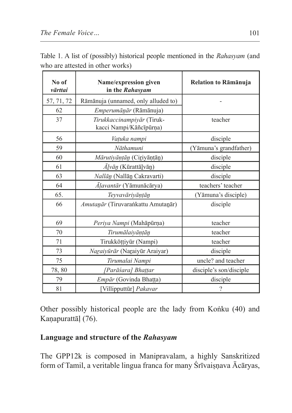| No of<br>vārttai | Name/expression given<br>in the Rahasyam              | Relation to Rāmānuja     |  |  |
|------------------|-------------------------------------------------------|--------------------------|--|--|
| 57, 71, 72       | Rāmānuja (unnamed, only alluded to)                   |                          |  |  |
| 62               | <i>Emperumānār</i> (Rāmānuja)                         |                          |  |  |
| 37               | Tirukkaccinampiyār (Tiruk-<br>kacci Nampi/Kāñcīpūrņa) | teacher                  |  |  |
| 56               | Vaṭuka nampi                                          | disciple                 |  |  |
| 59               | Nāthamuni                                             | (Yāmuna's grandfather)   |  |  |
| 60               | Mārutiyāņțān (Ciriyāņțān)                             | disciple                 |  |  |
| 61               | $\bar{A}$ <i>lvān</i> (Kūrattā <u>l</u> vān)          | disciple                 |  |  |
| 63               | Nallān (Nallān Cakravarti)                            | disciple                 |  |  |
| 64               | Āļavantār (Yāmunācārya)                               | teachers' teacher        |  |  |
| 65.              | Teyvavāriyāņțān                                       | (Yāmuna's disciple)      |  |  |
| 66               | Amutanār (Tiruvarankattu Amutanār)                    | disciple                 |  |  |
| 69               | Periya Nampi (Mahāpūrņa)                              | teacher                  |  |  |
| 70               | Tirumālaiyāņțān                                       | teacher                  |  |  |
| 71               | Tirukkōṭṭiyūr (Nampi)                                 | teacher                  |  |  |
| 73               | Naraiyūrār (Naraiyūr Araiyar)                         | disciple                 |  |  |
| 75               | Tirumalai Nampi                                       | uncle? and teacher       |  |  |
| 78,80            | [Parāśara] Bhattar                                    | disciple's son/disciple  |  |  |
| 79               | Empār (Govinda Bhațța)                                | disciple                 |  |  |
| 81               | [Villipputtūr] Pakavar                                | $\overline{\phantom{a}}$ |  |  |

Table 1. A list of (possibly) historical people mentioned in the *Rahasyam* (and who are attested in other works)

Other possibly historical people are the lady from Koṅku (40) and Kanapurattāl (76).

## **Language and structure of the** *Rahasyam*

The GPP12k is composed in Manipravalam, a highly Sanskritized form of Tamil, a veritable lingua franca for many Śrīvaisnava Ācāryas,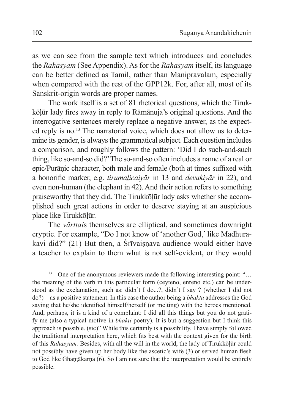as we can see from the sample text which introduces and concludes the *Rahasyam* (See Appendix). As for the *Rahasyam* itself, its language can be better defined as Tamil, rather than Manipravalam, especially when compared with the rest of the GPP12k. For, after all, most of its Sanskrit-origin words are proper names.

The work itself is a set of 81 rhetorical questions, which the Tirukkōḷūr lady fires away in reply to Rāmānuja's original questions. And the interrogative sentences merely replace a negative answer, as the expected reply is no.13 The narratorial voice, which does not allow us to determine its gender, is always the grammatical subject. Each question includes a comparison, and roughly follows the pattern: 'Did I do such-and-such thing, like so-and-so did?' The so-and-so often includes a name of a real or epic/Purāṇic character, both male and female (both at times suffixed with a honorific marker, e.g. *tirumaḻicaiyār* in 13 and *devakiyār* in 22), and even non-human (the elephant in 42). And their action refers to something praiseworthy that they did. The Tirukkōḷūr lady asks whether she accomplished such great actions in order to deserve staying at an auspicious place like Tirukkōḷūr.

The *vārttai*s themselves are elliptical, and sometimes downright cryptic. For example, "Do I not know of 'another God,' like Madhurakavi did?"  $(21)$  But then, a Srīvaisnava audience would either have a teacher to explain to them what is not self-evident, or they would

<sup>&</sup>lt;sup>13</sup> One of the anonymous reviewers made the following interesting point: "... the meaning of the verb in this particular form (ceyteno, enreno etc.) can be understood as the exclamation, such as: didn't I do...?, didn't I say ? (whether I did not do?)—as a positive statement. In this case the author being a *bhakta* addresses the God saying that he/she identified himself/herself (or melting) with the heroes mentioned. And, perhaps, it is a kind of a complaint: I did all this things but you do not gratify me (also a typical motive in *bhakti* poetry). It is but a suggestion but I think this approach is possible. (sic)" While this certainly is a possibility, I have simply followed the traditional interpretation here, which fits best with the context given for the birth of this *Rahasyam.* Besides, with all the will in the world, the lady of Tirukkōḷūr could not possibly have given up her body like the ascetic's wife (3) or served human flesh to God like Ghantākarna (6). So I am not sure that the interpretation would be entirely possible.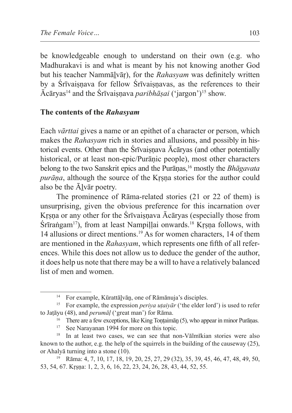be knowledgeable enough to understand on their own (e.g. who Madhurakavi is and what is meant by his not knowing another God but his teacher Nammāḻvāṛ), for the *Rahasyam* was definitely written by a Śrīvaisnava for fellow Śrīvaisnavas, as the references to their Ācāryas<sup>14</sup> and the Śrīvaiṣṇava *paribhāṣai* ('jargon')15 show.

### **The contents of the** *Rahasyam*

Each *vārttai* gives a name or an epithet of a character or person, which makes the *Rahasyam* rich in stories and allusions, and possibly in historical events. Other than the Śrīvaiṣṇava Ācāryas (and other potentially historical, or at least non-epic/Purānic people), most other characters belong to the two Sanskrit epics and the Purāṇas,16 mostly the *Bhāgavata purāna*, although the source of the Krsna stories for the author could also be the Ālvār poetry.

The prominence of Rāma-related stories (21 or 22 of them) is unsurprising, given the obvious preference for this incarnation over Krsna or any other for the Śrīvaisnava Ācāryas (especially those from  $\text{S}\bar{\text{r}}$  irraṅgam<sup>17</sup>), from at least Nampillai onwards.<sup>18</sup> Krsna follows, with 14 allusions or direct mentions.19 As for women characters, 14 of them are mentioned in the *Rahasyam*, which represents one fifth of all references. While this does not allow us to deduce the gender of the author, it does help us note that there may be a will to have a relatively balanced list of men and women.

<sup>14</sup> For example, Kūrattāḻvāṉ, one of Rāmānuja's disciples.

<sup>15</sup> For example, the expression *periya uṭaiyār* ('the elder lord') is used to refer to Jaṭāyu (48), and *perumāḷ* ('great man') for Rāma.

<sup>&</sup>lt;sup>16</sup> There are a few exceptions, like King Tontaimān  $(5)$ , who appear in minor Purānas.

<sup>&</sup>lt;sup>17</sup> See Narayanan 1994 for more on this topic.

<sup>&</sup>lt;sup>18</sup> In at least two cases, we can see that non-Vālmīkian stories were also known to the author, e.g. the help of the squirrels in the building of the causeway (25), or Ahalyā turning into a stone (10).

<sup>19</sup> Rāma: 4, 7, 10, 17, 18, 19, 20, 25, 27, 29 (32), 35, 39, 45, 46, 47, 48, 49, 50, 53, 54, 67. Kṛṣṇa: 1, 2, 3, 6, 16, 22, 23, 24, 26, 28, 43, 44, 52, 55.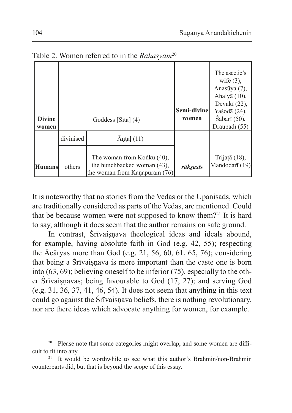|               |           |                                                              |             | The ascetic's         |
|---------------|-----------|--------------------------------------------------------------|-------------|-----------------------|
|               |           |                                                              |             | wife $(3)$ ,          |
|               |           |                                                              |             | Anasūya (7),          |
|               |           |                                                              |             | Ahaly $\bar{a}$ (10), |
|               |           |                                                              |             | Devakī $(22)$ ,       |
|               |           |                                                              | Semi-divine | Yaśodā (24),          |
| <b>Divine</b> |           | Goddess [Sītā] $(4)$                                         | women       | Sabarī (50),          |
| women         |           |                                                              |             | Draupadī (55)         |
|               | divinised | $\bar{A}$ ntāl (11)                                          |             |                       |
|               |           |                                                              |             |                       |
|               |           | The woman from Konku (40),                                   |             | Trijațā (18),         |
| <b>Humans</b> | others    | the hunchbacked woman (43),<br>the woman from Kanapuram (76) | rāksasīs    | Mandodarī (19)        |

Table 2. Women referred to in the *Rahasyam*<sup>20</sup>

It is noteworthy that no stories from the Vedas or the Upaniṣads, which are traditionally considered as parts of the Vedas, are mentioned. Could that be because women were not supposed to know them?<sup>21</sup> It is hard to say, although it does seem that the author remains on safe ground.

In contrast, Srīvaisnava theological ideas and ideals abound, for example, having absolute faith in God (e.g. 42, 55); respecting the Ācāryas more than God (e.g. 21, 56, 60, 61, 65, 76); considering that being a Srīvaisnava is more important than the caste one is born into (63, 69); believing oneself to be inferior (75), especially to the other Śrīvaisnavas; being favourable to God  $(17, 27)$ ; and serving God (e.g. 31, 36, 37, 41, 46, 54). It does not seem that anything in this text could go against the Śrīvaiṣṇava beliefs, there is nothing revolutionary, nor are there ideas which advocate anything for women, for example.

<sup>&</sup>lt;sup>20</sup> Please note that some categories might overlap, and some women are difficult to fit into any.

<sup>&</sup>lt;sup>21</sup> It would be worthwhile to see what this author's Brahmin/non-Brahmin counterparts did, but that is beyond the scope of this essay.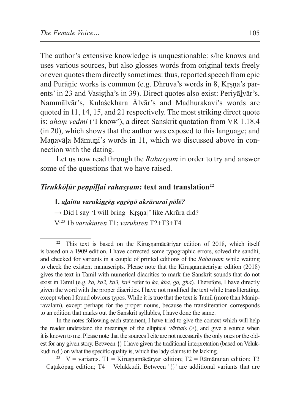The author's extensive knowledge is unquestionable: s/he knows and uses various sources, but also glosses words from original texts freely or even quotes them directly sometimes: thus, reported speech from epic and Purāṇic works is common (e.g. Dhruva's words in 8, Kṛṣṇa's parents' in 23 and Vasistha's in 39). Direct quotes also exist: Periyālvār's, Nammāḻvār's, Kulaśekhara Āḻvār's and Madhurakavi's words are quoted in 11, 14, 15, and 21 respectively. The most striking direct quote is: *ahaṃ vedmi* ('I know'), a direct Sanskrit quotation from VR 1.18.4 (in 20), which shows that the author was exposed to this language; and Manavāla Māmuni's words in 11, which we discussed above in connection with the dating.

Let us now read through the *Rahasyam* in order to try and answer some of the questions that we have raised.

#### *Tirukkōḷūr penpiḷḷai rahasyam*: text and translation<sup>22</sup>

#### **1.** *aḻaittu varukiṉṟēṉ eṉṟēṉō akrūrarai pōlē?*

 $\rightarrow$  Did I say 'I will bring [Krsna]' like Akrūra did?

V:23 1b *varukiṉṟēṉ* T1; *varukiṟēṉ* T2+T3+T4

This text is based on the Kirusṇamācāriyar edition of 2018, which itself is based on a 1909 edition. I have corrected some typographic errors, solved the sandhi, and checked for variants in a couple of printed editions of the *Rahasyam* while waiting to check the existent manuscripts. Please note that the Kiruṣṇamācāriyar edition (2018) gives the text in Tamil with numerical diacritics to mark the Sanskrit sounds that do not exist in Tamil (e.g. *ka, ka2, ka3, ka4* refer to *ka, kha, ga, gha*). Therefore, I have directly given the word with the proper diacritics. I have not modified the text while transliterating, except when I found obvious typos. While it is true that the text is Tamil (more than Manipravalam), except perhaps for the proper nouns, because the transliteration corresponds to an edition that marks out the Sanskrit syllables, I have done the same.

In the notes following each statement, I have tried to give the context which will help the reader understand the meanings of the elliptical *vārttai*s (>), and give a source when it is known to me. Please note that the sources I cite are not necessarily the only ones orthe oldest for any given story. Between {} I have given the traditional interpretation (based on Velukkudi n.d.) on what the specific quality is, which the lady claims to be lacking.

<sup>&</sup>lt;sup>23</sup> V = variants. T1 = Kiruṣṇamācāryar edition; T2 = Rāmānujan edition; T3  $=$  Caṭakōpan edition; T4 = Velukkudi. Between '{}' are additional variants that are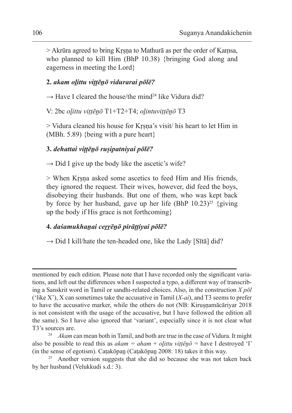> Akrūra agreed to bring Kṛṣṇa to Mathurā as per the order of Kaṃsa, who planned to kill Him (BhP 10.38) {bringing God along and eagerness in meeting the Lord}

#### **2.** *akam oḻittu viṭṭēṉō vidurarai pōlē?*

 $\rightarrow$  Have I cleared the house/the mind<sup>24</sup> like Vidura did?

V: 2bc *oḻittu viṭṭēṉō* T1+T2+T4; *oḻintuviṭṭēṉō* T3

> Vidura cleaned his house for Kṛṣṇa's visit/ his heart to let Him in (MBh. 5.89) {being with a pure heart}

## **3.** *dehattai viṭṭēṉō ruṣipatniyai pōlē?*

 $\rightarrow$  Did I give up the body like the ascetic's wife?

> When Kṛṣṇa asked some ascetics to feed Him and His friends, they ignored the request. Their wives, however, did feed the boys, disobeying their husbands. But one of them, who was kept back by force by her husband, gave up her life (BhP  $10.23$ )<sup>25</sup> {giving up the body if His grace is not forthcoming}

#### **4.** *daśamukhaṉai ceṟṟēṉō pirāṭṭiyai pōlē?*

 $\rightarrow$  Did I kill/hate the ten-headed one, like the Lady [Sītā] did?

mentioned by each edition. Please note that I have recorded only the significant variations, and left out the differences when I suspected a typo, a different way of transcribing a Sanskrit word in Tamil or sandhi-related choices. Also, in the construction *X pōl*  ('like X'), X can sometimes take the accusative in Tamil (*X-ai*), and T3 seems to prefer to have the accusative marker, while the others do not (NB: Kiruṣṇamācāriyar 2018 is not consistent with the usage of the accusative, but I have followed the edition all the same). So I have also ignored that 'variant', especially since it is not clear what T3's sources are.

<sup>&</sup>lt;sup>24</sup> *Akam* can mean both in Tamil, and both are true in the case of Vidura. It might also be possible to read this as  $akam = aham + olittu$  viṭṭēṇō = have I destroyed 'I' (in the sense of egotism). Caṭakōpaṉ (Caṭakōpaṉ 2008: 18) takes it this way.

 $25$  Another version suggests that she did so because she was not taken back by her husband (Velukkudi s.d.: 3).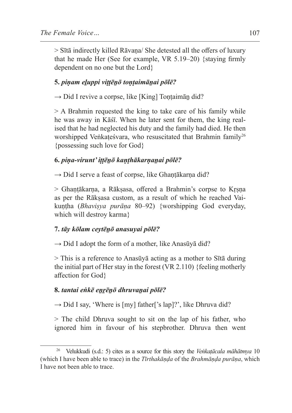> Sītā indirectly killed Rāvaṇa/ She detested all the offers of luxury that he made Her (See for example, VR 5.19–20) {staying firmly dependent on no one but the Lord}

## **5.** *piṇam eḻuppi viṭṭēṉō toṇṭaimāṉai pōlē?*

 $\rightarrow$  Did I revive a corpse, like [King] Tontaimān did?

> A Brahmin requested the king to take care of his family while he was away in Kāśī. When he later sent for them, the king realised that he had neglected his duty and the family had died. He then worshipped Veṅkaṭeśvara, who resuscitated that Brahmin family<sup>26</sup> {possessing such love for God}

### **6.** *piṇa-virunt' iṭṭēṉō kaṇṭhākarṇaṉai pōlē?*

 $\rightarrow$  Did I serve a feast of corpse, like Ghantākarna did?

> Ghaṇṭākarṇa, a Rākṣasa, offered a Brahmin's corpse to Kṛṣṇa as per the Rākṣasa custom, as a result of which he reached Vaikuṇṭha (*Bhaviṣya purāṇa* 80–92) {worshipping God everyday, which will destroy karma}

#### **7.** *tāy kōlam ceytēṉō anasuyai pōlē?*

 $\rightarrow$  Did I adopt the form of a mother, like Anasūyā did?

> This is a reference to Anasūyā acting as a mother to Sītā during the initial part of Her stay in the forest (VR 2.110) {feeling motherly affection for God}

## **8.** *tantai eṅkē eṉṟēṉō dhruvaṉai pōlē?*

 $\rightarrow$  Did I say, 'Where is [my] father['s lap]?', like Dhruva did?

> The child Dhruva sought to sit on the lap of his father, who ignored him in favour of his stepbrother. Dhruva then went

<sup>26</sup> Velukkudi (s.d.: 5) cites as a source for this story the *Veṅkaṭācala māhātmya* 10 (which I have been able to trace) in the *Tīrthakāṇḍa* of the *Brahmāṇḍa purāṇa*, which I have not been able to trace.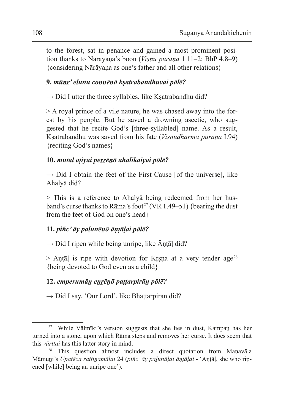to the forest, sat in penance and gained a most prominent position thanks to Nārāyaṇa's boon (*Viṣṇu purāṇa* 1.11–2; BhP 4.8–9) {considering Nārāyaṇa as one's father and all other relations}

### **9.** *mūṉṟ' eḻuttu coṉṉēṉō kṣatrabandhuvai pōlē?*

 $\rightarrow$  Did I utter the three syllables, like Kṣatrabandhu did?

> A royal prince of a vile nature, he was chased away into the forest by his people. But he saved a drowning ascetic, who suggested that he recite God's [three-syllabled] name. As a result, Kṣatrabandhu was saved from his fate (*Viṣnudharma purāṇa* I.94) {reciting God's names}

#### **10.** *mutal aṭiyai peṟṟēṉō ahalikaiyai pōlē?*

 $\rightarrow$  Did I obtain the feet of the First Cause [of the universe], like Ahalyā did?

> This is a reference to Ahalyā being redeemed from her husband's curse thanks to Rāma's foot<sup>27</sup> (VR 1.49–51) {bearing the dust from the feet of God on one's head}

#### **11.** *piñc' āy paḻuttēṉō āṇṭāḷai pōlē?*

 $\rightarrow$  Did I ripen while being unripe, like  $\bar{A}$ ntāl did?

 $>$  Antāl is ripe with devotion for Krsna at a very tender age<sup>28</sup> {being devoted to God even as a child}

#### **12.** *emperumāṉ eṉṟēṉō paṭṭarpirāṉ pōlē?*

 $\rightarrow$  Did I say, 'Our Lord', like Bhattarpirān did?

<sup>27</sup> While Vālmīki's version suggests that she lies in dust, Kampaṉ has her turned into a stone, upon which Rāma steps and removes her curse. It does seem that this *vārttai* has this latter story in mind.

<sup>28</sup> This question almost includes a direct quotation from Maṇavāḷa Māmuṉi's *Upatēca rattiṉamālai* 24 (*piñc' āy paḻuttāḷai āṇṭāḷai* - 'Āṇṭāḷ, she who ripened [while] being an unripe one').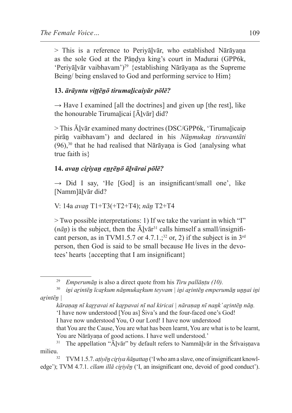> This is a reference to Periyāḻvār, who established Nārāyaṇa as the sole God at the Pāṇḍya king's court in Madurai (GPP6k, 'Periyāḻvār vaibhavam')<sup>29</sup> {establishing Nārāyaṇa as the Supreme Being/ being enslaved to God and performing service to Him}

#### **13.** *ārāyntu viṭṭēṉō tirumaḻicaiyār pōlē?*

 $\rightarrow$  Have I examined [all the doctrines] and given up [the rest], like the honourable Tirumaḻicai [Āḻvār] did?

> This Ālvār examined many doctrines (DSC/GPP6k, 'Tirumalicaip pirāṉ vaibhavam') and declared in his *Nāṉmukaṉ tiruvantāti*  $(96)$ ,<sup>30</sup> that he had realised that Nārāyaṇa is God {analysing what true faith is}

#### **14.** *avaṉ ciṟiyaṉ eṉṟēṉō āḻvārai pōlē?*

 $\rightarrow$  Did I say, 'He [God] is an insignificant/small one', like [Namm]āḻvār did?

V: 14a *avaṉ* T1+T3(+T2+T4); *nāṉ* T2+T4

> Two possible interpretations: 1) If we take the variant in which "I"  $(n\bar{a}n)$  is the subject, then the  $\bar{A}Iv\bar{a}r^{31}$  calls himself a small/insignificant person, as in TVM1.5.7 or 4.7.1.;<sup>32</sup> or, 2) if the subject is in  $3<sup>rd</sup>$ person, then God is said to be small because He lives in the devotees' hearts {accepting that I am insignificant}

edge'); TVM 4.7.1. *cīlam illā cirivēn* ('I, an insignificant one, devoid of good conduct').

<sup>29</sup> *Emperumāṉ* is also a direct quote from his *Tiru pallāṇṭu (10).*

<sup>30</sup> *iṉi aṟintēṉ īcaṟkum nāṉmukaṟkum teyvam | iṉi aṟintēṉ emperumāṉ uṉṉai iṉi aṟintēṉ |* 

*kāraṇaṉ nī kaṟṟavai nī kaṟpavai nī nal kiricai | nāraṇaṉ nī naṉk' aṟintēṉ nāṉ.* 'I have now understood [You as] Śiva's and the four-faced one's God! I have now understood You, O our Lord! I have now understood

that You are the Cause, You are what has been learnt, You are what is to be learnt, You are Nārāyaṇa of good actions. I have well understood.<sup>31</sup> The annellation "Ālvār" by default refers to Nammālvā

The appellation "Ālvār" by default refers to Nammālvār in the Śrīvaiṣṇava milieu.<br><sup>32</sup> TVM 1.5.7. *aṭiyēn ciṛiya ñāṇattaṇ* ('I who am a slave, one of insignificant knowl-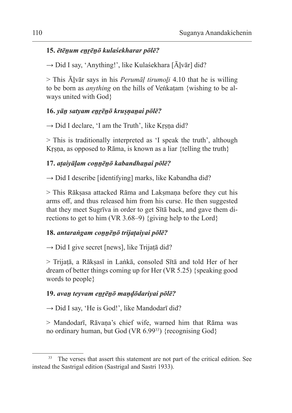### **15.** *ētēṉum eṉṟēṉō kulaśekharar pōlē?*

 $\rightarrow$  Did I say, 'Anything!', like Kulaśekhara [Ālvār] did?

> This Āḻvār says in his *Perumāḷ tirumoḻi* 4.10 that he is willing to be born as *anything* on the hills of Veṅkaṭam {wishing to be always united with God}

## **16.** *yāṉ satyam eṉṟēṉō kruṣṇaṉai pōlē?*

 $\rightarrow$  Did I declare, 'I am the Truth', like Krsna did?

> This is traditionally interpreted as 'I speak the truth', although Kṛṣṇa, as opposed to Rāma, is known as a liar {telling the truth}

### **17.** *aṭaiyāḷam coṉṉēṉō kabandhaṉai pōlē?*

 $\rightarrow$  Did I describe [identifying] marks, like Kabandha did?

> This Rākṣasa attacked Rāma and Lakṣmaṇa before they cut his arms off, and thus released him from his curse. He then suggested that they meet Sugrīva in order to get Sītā back, and gave them directions to get to him (VR 3.68–9) {giving help to the Lord}

#### **18.** *antaraṅgam coṉṉēṉō trijaṭaiyai pōlē?*

 $\rightarrow$  Did I give secret [news], like Trijatā did?

> Trijaṭā, a Rākṣasī in Laṅkā, consoled Sītā and told Her of her dream of better things coming up for Her (VR 5.25) {speaking good words to people}

#### **19.** *avaṉ teyvam eṉṟēṉō maṇḍōdariyai pōlē?*

 $\rightarrow$  Did I say, 'He is God!', like Mandodarī did?

> Mandodarī, Rāvaṇa's chief wife, warned him that Rāma was no ordinary human, but God (VR 6.99<sup>33</sup>) {recognising God}

<sup>&</sup>lt;sup>33</sup> The verses that assert this statement are not part of the critical edition. See instead the Sastrigal edition (Sastrigal and Sastri 1933).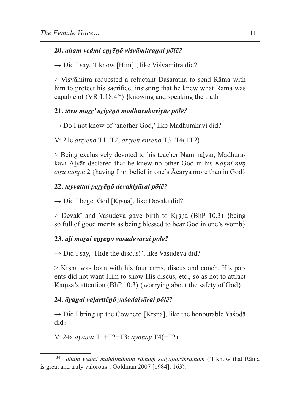## **20.** *aham vedmi eṉṟēṉō viśvāmitraṉai pōlē?*

 $\rightarrow$  Did I say, 'I know [Him]', like Viśvāmitra did?

> Viśvāmitra requested a reluctant Daśaratha to send Rāma with him to protect his sacrifice, insisting that he knew what Rāma was capable of (VR  $1.18.4^{34}$ ) {knowing and speaking the truth}

## **21.** *tēvu maṟṟ' aṟiyēṉō madhurakaviyār pōlē?*

→ Do I not know of 'another God,' like Madhurakavi did?

V: 21c *aṟiyēṉō* T1+T2; *aṟiyēṉ eṉṟēṉō* T3+T4(+T2)

> Being exclusively devoted to his teacher Nammālvār, Madhurakavi Āḻvār declared that he knew no other God in his *Kaṇṇi nuṇ ciru tāmpu* 2 {having firm belief in one's  $\bar{A}c\bar{a}r$  more than in God}

## **22.** *teyvattai peṟṟēṉō devakiyārai pōlē?*

 $\rightarrow$  Did I beget God [Krsna], like Devakī did?

> Devakī and Vasudeva gave birth to Kṛṣṇa (BhP 10.3) {being so full of good merits as being blessed to bear God in one's womb}

## **23.** *āḻi maṟai eṉṟēṉō vasudevarai pōlē?*

 $\rightarrow$  Did I say, 'Hide the discus!', like Vasudeva did?

> Kṛṣṇa was born with his four arms, discus and conch. His parents did not want Him to show His discus, etc., so as not to attract Kaṃsa's attention (BhP 10.3) {worrying about the safety of God}

## **24.** *āyaṉai vaḷarttēṉō yaśodaiyārai pōlē?*

 $\rightarrow$  Did I bring up the Cowherd [Krsna], like the honourable Yasoda did?

V: 24a *āyaṉai* T1+T2+T3; *āyaṉāy* T4(+T2)

<sup>34</sup> *ahaṃ vedmi mahātmānaṃ rāmaṃ satyaparākramam* ('I know that Rāma is great and truly valorous'; Goldman 2007 [1984]: 163).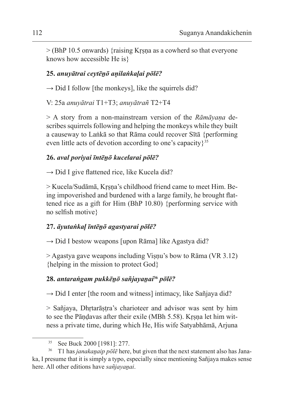$>$  (BhP 10.5 onwards) {raising Krsna as a cowherd so that everyone knows how accessible He is}

## **25.** *anuyātrai ceytēṉō aṇilaṅkaḷai pōlē?*

 $\rightarrow$  Did I follow [the monkeys], like the squirrels did?

V: 25a *anuyātrai* T1+T3; *anuyātrañ* T2+T4

> A story from a non-mainstream version of the *Rāmāyaṇa* describes squirrels following and helping the monkeys while they built a causeway to Laṅkā so that Rāma could recover Sītā {performing even little acts of devotion according to one's capacity $3^{35}$ 

## **26.** *aval poriyai īntēṉō kucelarai pōlē?*

 $\rightarrow$  Did I give flattened rice, like Kucela did?

> Kucela/Sudāmā, Kṛṣṇa's childhood friend came to meet Him. Being impoverished and burdened with a large family, he brought flattened rice as a gift for Him (BhP 10.80) {performing service with no selfish motive}

# **27.** *āyutaṅkaḷ īntēṉō agastyarai pōlē?*

 $\rightarrow$  Did I bestow weapons [upon Rāma] like Agastya did?

> Agastya gave weapons including Viṣṇu's bow to Rāma (VR 3.12) {helping in the mission to protect God}

# **28.** *antaraṅgam pukkēṉō sañjayaṉai***<sup>36</sup>** *pōlē?*

 $\rightarrow$  Did I enter [the room and witness] intimacy, like Sañjaya did?

> Sañjaya, Dhṛtarāṣṭra's charioteer and advisor was sent by him to see the Pāṇḍavas after their exile (MBh 5.58). Kṛṣṇa let him witness a private time, during which He, His wife Satyabhāmā, Arjuna

<sup>35</sup> See Buck 2000 [1981]: 277.

<sup>36</sup> T1 has *janakaṉaip pōlē* here, but given that the next statement also has Janaka, I presume that it is simply a typo, especially since mentioning Sañjaya makes sense here. All other editions have *sañjayanai*.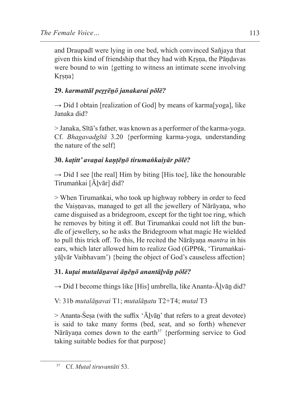and Draupadī were lying in one bed, which convinced Sañjaya that given this kind of friendship that they had with Kṛṣṇa, the Pāṇḍavas were bound to win {getting to witness an intimate scene involving Krsna}

# **29.** *karmattāl peṟṟēṉō janakarai pōlē?*

 $\rightarrow$  Did I obtain [realization of God] by means of karma[yoga], like Janaka did?

> Janaka, Sītā's father, was known as a performer of the karma-yoga. Cf. *Bhagavadgītā* 3.20 {performing karma-yoga, understanding the nature of the self}

## **30.** *kaṭitt' avaṉai kaṇṭēṉō tirumaṅkaiyār pōlē?*

 $\rightarrow$  Did I see [the real] Him by biting [His toe], like the honourable Tirumaṅkai [Ālvār] did?

> When Tirumaṅkai, who took up highway robbery in order to feed the Vaisnavas, managed to get all the jewellery of Nārāyana, who came disguised as a bridegroom, except for the tight toe ring, which he removes by biting it off. But Tirumaṅkai could not lift the bundle of jewellery, so he asks the Bridegroom what magic He wielded to pull this trick off. To this, He recited the Nārāyaṇa *mantra* in his ears, which later allowed him to realize God (GPP6k, 'Tirumaṅkaiyālvār Vaibhavam') {being the object of God's causeless affection}

## **31.** *kuṭai mutalāṉavai āṉēṉō anantāḻvāṉ pōlē?*

 $\rightarrow$  Did I become things like [His] umbrella, like Ananta-Ālvān did?

V: 31b *mutalāṉavai* T1; *mutalāṉatu* T2+T4; *mutal* T3

 $>$  Ananta-Seṣa (with the suffix ' $\bar{A}$ ]vān' that refers to a great devotee) is said to take many forms (bed, seat, and so forth) whenever Nārāyaṇa comes down to the earth<sup>37</sup> {performing service to God taking suitable bodies for that purpose}

<sup>37</sup> Cf. *Mutal tiruvantāti* 53.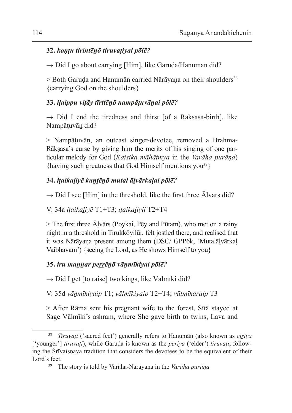### **32.** *koṇṭu tirintēṉō tiruvaṭiyai pōlē?*

 $\rightarrow$  Did I go about carrying [Him], like Garuda/Hanumān did?

 $>$  Both Garuda and Hanumān carried Nārāyana on their shoulders<sup>38</sup> {carrying God on the shoulders}

## **33.** *iḷaippu viṭāy tīrttēṉō nampāṭuvāṉai pōlē?*

 $\rightarrow$  Did I end the tiredness and thirst [of a Rākṣasa-birth], like Nampāṭuvāṉ did?

> Nampāṭuvāṉ, an outcast singer-devotee, removed a Brahma-Rākṣasa's curse by giving him the merits of his singing of one particular melody for God (*Kaisika māhātmya* in the *Varāha purāṇa*) {having such greatness that God Himself mentions you<sup>39</sup>}

## **34.** *iṭaikaḻiyē kaṇṭēṉō mutal āḻvārkaḷai pōlē?*

 $\rightarrow$  Did I see [Him] in the threshold, like the first three  $\bar{A}$ lvārs did?

V: 34a *iṭaikaḻiyē* T1+T3; *iṭaikaḻiyil* T2+T4

 $>$  The first three  $\bar{A}$ lvārs (Poykai, Pēy and Pūtam), who met on a rainy night in a threshold in Tirukkōyilūr, felt jostled there, and realised that it was Nārāyana present among them (DSC/ GPP6k, 'Mutalālvārkal Vaibhavam') {seeing the Lord, as He shows Himself to you}

## **35.** *iru maṉṉar peṟṟēṉō vāṉmīkiyai pōlē?*

 $\rightarrow$  Did I get [to raise] two kings, like Vālmīki did?

V: 35d *vāṉmīkiyaip* T1; *vālmīkiyaip* T2+T4; *vālmīkaraip* T3

> After Rāma sent his pregnant wife to the forest, Sītā stayed at Sage Vālmīki's ashram, where She gave birth to twins, Lava and

<sup>38</sup> *Tiruvaṭi* ('sacred feet') generally refers to Hanumān (also known as *ciṟiya*  ['younger'] *tiruvaṭi*), while Garuḍa is known as the *periya* ('elder') *tiruvaṭi*, following the Srīvaisnava tradition that considers the devotees to be the equivalent of their Lord's feet.

<sup>39</sup> The story is told by Varāha-Nārāyaṇa in the *Varāha purāṇa.*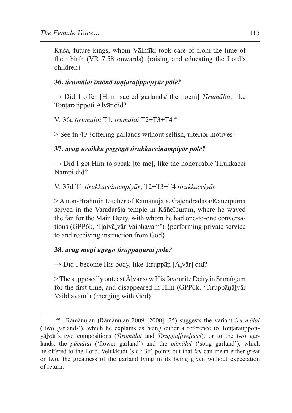Kuśa, future kings, whom Vālmīki took care of from the time of their birth (VR 7.58 onwards) {raising and educating the Lord's children}

#### **36.** *tirumālai īntēṉō toṇṭaraṭippoṭiyār pōlē?*

→ Did I offer [Him] sacred garlands/[the poem] *Tirumālai*, like Tontaratippoți Alvār did?

V: 36a *tirumālai* T1; *irumālai* T2+T3+T4 <sup>40</sup>

> See fn 40 {offering garlands without selfish, ulterior motives}

#### **37.** *avaṉ uraikka peṟṟēṉō tirukkaccinampiyār pōlē?*

 $\rightarrow$  Did I get Him to speak [to me], like the honourable Tirukkacci Nampi did?

V: 37d T1 *tirukkaccinampiyār*; T2+T3+T4 *tirukkacciyār*

> A non-Brahmin teacher of Rāmānuja's, Gajendradāsa/Kāñcīpūrṇa served in the Varadarāja temple in Kāñcīpuram, where he waved the fan for the Main Deity, with whom he had one-to-one conversations (GPP6k, 'Iḷaiyāḻvār Vaibhavam') {performing private service to and receiving instruction from God}

#### **38.** *avaṉ mēṉi āṉēṉō tiruppāṇarai pōlē?*

 $\rightarrow$  Did I become His body, like Tiruppān [Ālvār] did?

 $>$  The supposedly outcast  $\bar{A}$ lvār saw His favourite Deity in Śrīraṅgam for the first time, and disappeared in Him (GPP6k, 'Tiruppāṇālvār Vaibhavam') {merging with God}

<sup>40</sup> Rāmānujaṉ (Rāmānujaṉ 2009 [2000]: 25) suggests the variant *iru mālai*  ('two garlands'), which he explains as being either a reference to Toṇṭaraṭippoṭiyāḻvār's two compositions (*Tirumālai* and *Tiruppaḷḷiyeḻucci*), or to the two garlands, the *pūmālai* ('flower garland') and the *pāmālai* ('song garland'), which he offered to the Lord. Velukkudi (s.d.: 36) points out that *iru* can mean either great or two, the greatness of the garland lying in its being given without expectation of return.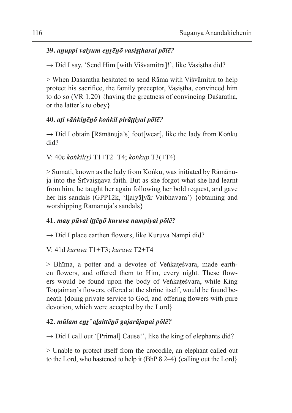## **39.** *aṉuppi vaiyum eṉṟēṉō vasiṣṭharai pōlē?*

 $\rightarrow$  Did I say, 'Send Him [with Visvāmitra]!', like Vasistha did?

> When Daśaratha hesitated to send Rāma with Viśvāmitra to help protect his sacrifice, the family preceptor, Vasistha, convinced him to do so (VR 1.20) {having the greatness of convincing Daśaratha, or the latter's to obey}

## **40.** *aṭi vāṅkiṉēṉō koṅkil pirāṭṭiyai pōlē?*

 $\rightarrow$  Did I obtain [Rāmānuja's] foot[wear], like the lady from Koṅku did?

```
V: 40c koṅkil(ṟ) T1+T2+T4; koṅkup T3(+T4)
```
> Sumatī, known as the lady from Koṅku, was initiated by Rāmānuja into the Śrīvaisnava faith. But as she forgot what she had learnt from him, he taught her again following her bold request, and gave her his sandals (GPP12k, 'Iḷaiyāḻvār Vaibhavam') {obtaining and worshipping Rāmānuja's sandals}

## **41.** *maṇ pūvai iṭṭēṉō kuruva nampiyai pōlē?*

 $\rightarrow$  Did I place earthen flowers, like Kuruva Nampi did?

V: 41d *kuruva* T1+T3; *kurava* T2+T4

> Bhīma, a potter and a devotee of Veṅkaṭeśvara, made earthen flowers, and offered them to Him, every night. These flowers would be found upon the body of Veṅkaṭeśvara, while King Tontaimān's flowers, offered at the shrine itself, would be found beneath {doing private service to God, and offering flowers with pure devotion, which were accepted by the Lord}

## **42.** *mūlam eṉṟ' aḻaittēṉō gajarājaṉai pōlē?*

 $\rightarrow$  Did I call out '[Primal] Cause!', like the king of elephants did?

> Unable to protect itself from the crocodile, an elephant called out to the Lord, who hastened to help it (BhP 8.2–4) {calling out the Lord}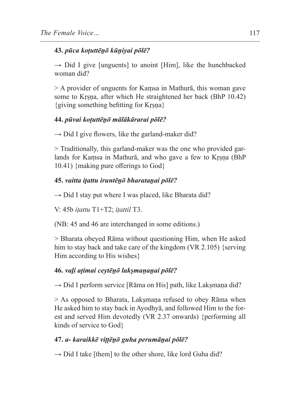## **43.** *pūca koṭuttēṉō kūṉiyai pōlē?*

 $\rightarrow$  Did I give [unguents] to anoint [Him], like the hunchbacked woman did?

> A provider of unguents for Kaṃsa in Mathurā, this woman gave some to Kṛṣṇa, after which He straightened her back (BhP 10.42) {giving something befitting for Kṛṣṇa}

## **44.** *pūvai koṭuttēṉō mālākārarai pōlē?*

 $\rightarrow$  Did I give flowers, like the garland-maker did?

> Traditionally, this garland-maker was the one who provided garlands for Kaṃsa in Mathurā, and who gave a few to Kṛṣṇa (BhP 10.41) {making pure offerings to God}

## **45.** *vaitta iṭattu iruntēṉō bharataṉai pōlē?*

 $\rightarrow$  Did I stay put where I was placed, like Bharata did?

V: 45b *iṭattu* T1+T2; *iṭattil* T3.

(NB: 45 and 46 are interchanged in some editions.)

> Bharata obeyed Rāma without questioning Him, when He asked him to stay back and take care of the kingdom (VR 2.105) {serving Him according to His wishes}

# **46.** *vaḻi aṭimai ceytēṉō lakṣmaṇaṉai pōlē?*

 $\rightarrow$  Did I perform service [Rāma on His] path, like Laksmana did?

 $>$  As opposed to Bharata, Laksmana refused to obey Rāma when He asked him to stay back in Ayodhyā, and followed Him to the forest and served Him devotedly (VR 2.37 onwards) {performing all kinds of service to God}

# **47.** *a- karaikkē viṭṭēṉō guha perumāṉai pōlē?*

 $\rightarrow$  Did I take [them] to the other shore, like lord Guha did?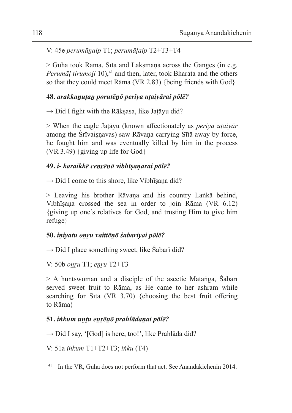V: 45e *perumāṉaip* T1; *perumāḷaip* T2+T3+T4

> Guha took Rāma, Sītā and Lakṣmaṇa across the Ganges (in e.g. *Perumāl tirumoli* 10),<sup>41</sup> and then, later, took Bharata and the others so that they could meet Rāma (VR 2.83) {being friends with God}

## **48.** *arakkaṉuṭaṉ porutēṉō periya uṭaiyārai pōlē?*

 $\rightarrow$  Did I fight with the Rākṣasa, like Jaṭāyu did?

> When the eagle Jaṭāyu (known affectionately as *periya uṭaiyār*  among the Śrīvaisnavas) saw Rāvana carrying Sītā away by force, he fought him and was eventually killed by him in the process (VR 3.49) {giving up life for God}

## **49.** *i- karaikkē ceṉṟēṉō vibhīṣaṇarai pōlē?*

 $\rightarrow$  Did I come to this shore, like Vibhīsana did?

> Leaving his brother Rāvaṇa and his country Laṅkā behind, Vibhīṣaṇa crossed the sea in order to join Rāma (VR 6.12) {giving up one's relatives for God, and trusting Him to give him refuge}

## **50.** *iṉiyatu oṉṟu vaittēṉō śabariyai pōlē?*

 $\rightarrow$  Did I place something sweet, like Sabarī did?

V: 50b *oṉṟu* T1; *eṉṟu* T2+T3

> A huntswoman and a disciple of the ascetic Mataṅga, Śabarī served sweet fruit to Rāma, as He came to her ashram while searching for Sītā (VR 3.70) {choosing the best fruit offering to Rāma}

# **51.** *iṅkum uṇṭu eṉṟēṉō prahlādaṉai pōlē?*

 $\rightarrow$  Did I say, '[God] is here, too!', like Prahlāda did?

V: 51a *iṅkum* T1+T2+T3; *iṅku* (T4)

<sup>&</sup>lt;sup>41</sup> In the VR, Guha does not perform that act. See Anandakichenin 2014.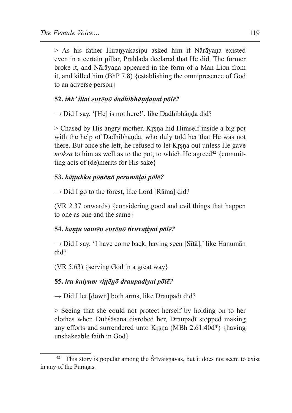$>$  As his father Hiranyakaśipu asked him if Nārāyana existed even in a certain pillar, Prahlāda declared that He did. The former broke it, and Nārāyaṇa appeared in the form of a Man-Lion from it, and killed him (BhP 7.8) {establishing the omnipresence of God to an adverse person}

### **52.** *iṅk' illai eṉṟēṉō dadhibhāṇḍaṉai pōlē?*

 $\rightarrow$  Did I say, '[He] is not here!', like Dadhibhāṇḍa did?

> Chased by His angry mother, Kṛṣṇa hid Himself inside a big pot with the help of Dadhibhāṇḍa, who duly told her that He was not there. But once she left, he refused to let Kṛṣṇa out unless He gave *moksa* to him as well as to the pot, to which He agreed<sup>42</sup> {committing acts of (de)merits for His sake}

## **53.** *kāṭṭukku pōṉēṉō perumāḷai pōlē?*

 $\rightarrow$  Did I go to the forest, like Lord [Rāma] did?

(VR 2.37 onwards) {considering good and evil things that happen to one as one and the same}

## **54.** *kaṇṭu vantēṉ eṉṟēṉō tiruvaṭiyai pōlē?*

 $\rightarrow$  Did I say, 'I have come back, having seen [Sītā],' like Hanumān did?

(VR 5.63) {serving God in a great way}

## **55.** *iru kaiyum viṭṭēṉō draupadiyai pōlē?*

 $\rightarrow$  Did I let [down] both arms, like Draupadī did?

> Seeing that she could not protect herself by holding on to her clothes when Duhśāsana disrobed her, Draupadī stopped making any efforts and surrendered unto Kṛṣṇa (MBh 2.61.40d\*) {having unshakeable faith in God}

 $42$  This story is popular among the Śrīvaiṣṇavas, but it does not seem to exist in any of the Purāṇas.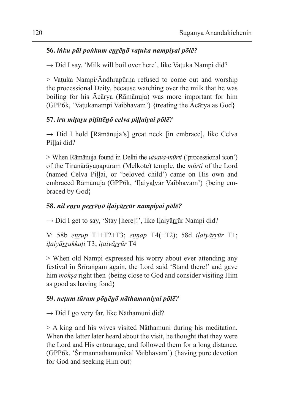## **56.** *iṅku pāl poṅkum eṉṟēṉō vaṭuka nampiyai pōlē?*

 $\rightarrow$  Did I say, 'Milk will boil over here', like Vatuka Nampi did?

 $>$  Vatuka Nampi/ $\bar{A}$ ndhrapūrna refused to come out and worship the processional Deity, because watching over the milk that he was boiling for his Ācārya (Rāmānuja) was more important for him (GPP6k, 'Vaṭukanampi Vaibhavam') {treating the Ācārya as God}

## **57.** *iru miṭaṟu piṭittēṉō celva piḷḷaiyai pōlē?*

 $\rightarrow$  Did I hold [Rāmānuja's] great neck [in embrace], like Celva Pillai did?

> When Rāmānuja found in Delhi the *utsava-mūrti* ('processional icon') of the Tirunārāyaṇapuram (Melkote) temple, the *mūrti* of the Lord (named Celva Piḷḷai, or 'beloved child') came on His own and embraced Rāmānuja (GPP6k, 'Iḷaiyāḻvār Vaibhavam') {being embraced by God}

# **58.** *nil eṉṟu peṟṟēṉō iḷaiyāṟṟūr nampiyai pōlē?*

 $\rightarrow$  Did I get to say, 'Stay [here]!', like Ilaiyārrūr Nampi did?

V: 58b *eṉṟup* T1+T2+T3; *eṉṉap* T4(+T2); 58d *iḷaiyāṟṟūr* T1; *iḷaiyāṟṟukkuṭi* T3; *iṭaiyāṟṟūr* T4

> When old Nampi expressed his worry about ever attending any festival in Śrīraṅgam again, the Lord said 'Stand there!' and gave him *mokṣa* right then {being close to God and consider visiting Him as good as having food}

# **59.** *neṭum tūram pōṉēṉō nāthamuniyai pōlē?*

 $\rightarrow$  Did I go very far, like Nāthamuni did?

> A king and his wives visited Nāthamuni during his meditation. When the latter later heard about the visit, he thought that they were the Lord and His entourage, and followed them for a long distance. (GPP6k, 'Śrīmannāthamunikaḷ Vaibhavam') {having pure devotion for God and seeking Him out}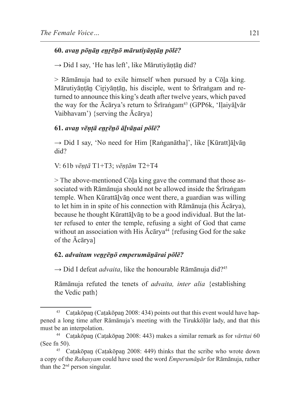#### **60.** *avaṉ pōṉāṉ eṉṟēṉō mārutiyāṇṭāṉ pōlē?*

 $\rightarrow$  Did I say, 'He has left', like Mārutiyāntān did?

> Rāmānuja had to exile himself when pursued by a Cōḻa king. Mārutiyāntān Ciriyāntān, his disciple, went to Śrīraṅgam and returned to announce this king's death after twelve years, which paved the way for the  $\bar{A}c\bar{a}r\bar{v}a$ 's return to Śrīraṅgam<sup>43</sup> (GPP6k, 'Ilaivālvār Vaibhavam') {serving the Ācārya}

### **61.** *avaṉ vēṇṭā eṉṟēṉō āḻvāṉai pōlē?*

 $\rightarrow$  Did I say, 'No need for Him [Raṅganātha]', like [Kūratt]ālvān did?

V: 61b *vēṇṭā* T1+T3; *vēṇṭām* T2+T4

> The above-mentioned Cōḻa king gave the command that those associated with Rāmānuja should not be allowed inside the Śrīraṅgam temple. When Kūrattāḻvāṉ once went there, a guardian was willing to let him in in spite of his connection with Rāmānuja (his Ācārya), because he thought Kūrattāḻvāṉ to be a good individual. But the latter refused to enter the temple, refusing a sight of God that came without an association with His  $\bar{A}c\bar{a}rya^{44}$  {refusing God for the sake of the Ācārya]

#### **62.** *advaitam veṉṟēṉō emperumāṉārai pōlē?*

 $\rightarrow$  Did I defeat *advaita*, like the honourable Rāmānuja did?<sup>45</sup>

Rāmānuja refuted the tenets of *advaita, inter alia* {establishing the Vedic path}

<sup>&</sup>lt;sup>43</sup> Catakōpan (Catakōpan 2008: 434) points out that this event would have happened a long time after Rāmānuja's meeting with the Tirukkōḷūr lady, and that this must be an interpolation.<br><sup>44</sup> Catakōpan (Catakōpan 2008: 443) makes a similar remark as for *vārttai* 60

<sup>(</sup>See fn 50).

Caṭakōpan (Caṭakōpan 2008: 449) thinks that the scribe who wrote down a copy of the *Rahasyam* could have used the word *Emperumāṉār* for Rāmānuja, rather than the  $2<sup>nd</sup>$  person singular.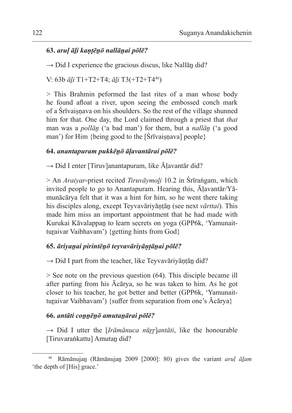## **63.** *aruḷ āḻi kaṇṭēṉō nallāṉai pōlē?*

 $\rightarrow$  Did I experience the gracious discus, like Nallān did?

V: 63b *āḻi* T1+T2+T4; *āḻi* T3(+T2+T446)

> This Brahmin peformed the last rites of a man whose body he found afloat a river, upon seeing the embossed conch mark of a Śrīvaiṣṇava on his shoulders. So the rest of the village shunned him for that. One day, the Lord claimed through a priest that *that* man was a *pollāṉ* ('a bad man') for them, but a *nallāṉ* ('a good man') for Him {being good to the  $[\text{Srīvais }]$  people}

## **64.** *anantapuram pukkēṉō āḷavantārai pōlē?*

 $\rightarrow$  Did I enter [Tiruv]anantapuram, like  $\bar{A}$ ]avantār did?

> An *Araiyar*-priest recited *Tiruvāymoḻi* 10.2 in Śrīraṅgam, which invited people to go to Anantapuram. Hearing this, Āḷavantār/Yāmunācārya felt that it was a hint for him, so he went there taking his disciples along, except Teyvavāriyāṇṭāṉ (see next *vārttai*). This made him miss an important appointment that he had made with Kurukai Kāvalappan to learn secrets on yoga (GPP6k, 'Yamunaitturaivar Vaibhavam') {getting hints from God}

## **65.** *āriyaṉai pirintēṉō teyvavāriyāṇṭāṉai pōlē?*

 $\rightarrow$  Did I part from the teacher, like Teyvavāriyāṇṭān did?

> See note on the previous question (64). This disciple became ill after parting from his Ācārya, so he was taken to him. As he got closer to his teacher, he got better and better (GPP6k, 'Yamunaitturaivar Vaibhavam') {suffer from separation from one's  $\bar{A}c\bar{a}rya$ }

## **66.** *antāti coṉṉēṉō amutaṉārai pōlē?*

→ Did I utter the [*Irāmānuca nūṟṟ*]*antāti*, like the honourable [Tiruvaraṅkattu] Amutaṉ did?

<sup>46</sup> Rāmānujaṉ (Rāmānujaṉ 2009 [2000]: 80) gives the variant *aruḷ āḻam*  'the depth of [His] grace.'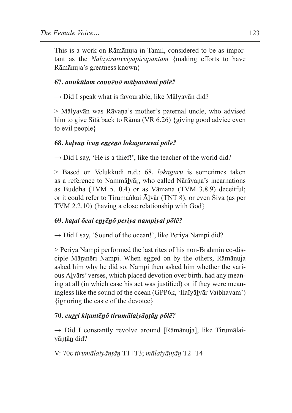This is a work on Rāmānuja in Tamil, considered to be as important as the *Nālāyirativviyapirapantam* {making efforts to have Rāmānuja's greatness known}

## **67.** *anukūlam coṉṉēṉō mālyavānai pōlē?*

 $\rightarrow$  Did I speak what is favourable, like Mālyavān did?

> Mālyavān was Rāvaṇa's mother's paternal uncle, who advised him to give Sītā back to Rāma (VR 6.26) {giving good advice even to evil people}

## **68.** *kaḷvaṉ ivaṉ eṉṟēṉō lokaguruvai pōlē?*

 $\rightarrow$  Did I say, 'He is a thief!', like the teacher of the world did?

> Based on Velukkudi n.d.: 68, *lokaguru* is sometimes taken as a reference to Nammāḻvāṛ, who called Nārāyaṇa's incarnations as Buddha (TVM 5.10.4) or as Vāmana (TVM 3.8.9) deceitful; or it could refer to Tirumankai Ālvār (TNT 8); or even Śiva (as per TVM 2.2.10) {having a close relationship with God}

## **69.** *kaṭal ōcai eṉṟēṉō periya nampiyai pōlē?*

 $\rightarrow$  Did I say, 'Sound of the ocean!', like Periya Nampi did?

> Periya Nampi performed the last rites of his non-Brahmin co-disciple Māranēri Nampi. When egged on by the others, Rāmānuja asked him why he did so. Nampi then asked him whether the various Āḻvārs' verses, which placed devotion over birth, had any meaning at all (in which case his act was justified) or if they were meaningless like the sound of the ocean (GPP6k, 'Ilaīyāḻvār Vaibhavam') {ignoring the caste of the devotee}

## **70.** *cuṟṟi kiṭantēṉō tirumālaiyāṇṭāṉ pōlē?*

 $\rightarrow$  Did I constantly revolve around [Rāmānuja], like Tirumālaiyāṇṭāṉ did?

V: 70c *tirumālaiyāṇṭāṉ* T1+T3; *mālaiyāṇṭāṉ* T2+T4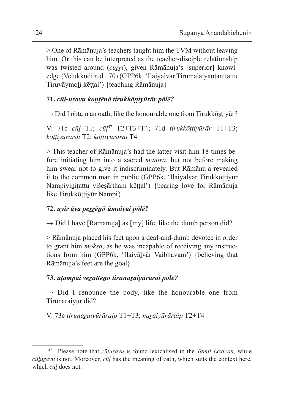> One of Rāmānuja's teachers taught him the TVM without leaving him. Or this can be interpreted as the teacher-disciple relationship was twisted around *(curri)*, given Rāmānuja's [superior] knowledge (Velukkudi n.d.: 70) (GPP6k, 'Ilaiyālvār Tirumālaiyāntānitattu Tiruvāymoḻi kēṭṭal') {teaching Rāmānuja}

## **71.** *cūḻ-uṟavu koṇṭēṉō tirukkōṭṭiyūrār pōlē?*

 $\rightarrow$  Did I obtain an oath, like the honourable one from Tirukkōṣṭiyūr?

V: 71c *cūḻ* T1; *cūḷ*<sup>47</sup> T2+T3+T4; 71d *tirukkōṭṭiyūrār* T1+T3; *kōṭṭiyūrārai* T2; *kōṭṭiyūrarai* T4

> This teacher of Rāmānuja's had the latter visit him 18 times before initiating him into a sacred *mantra*, but not before making him swear not to give it indiscriminately. But Rāmānuja revealed it to the common man in public (GPP6k, 'Ilaiyālvār Tirukkōttiyūr Nampiyinitattu viśesārtham kēttal') {bearing love for Rāmānuja like Tirukkōttiyūr Nampi}

## **72.** *uyir āya peṟṟēṉō ūmaiyai pōlē?*

 $\rightarrow$  Did I have [Rāmānuja] as [my] life, like the dumb person did?

> Rāmānuja placed his feet upon a deaf-and-dumb devotee in order to grant him *mokṣa*, as he was incapable of receiving any instructions from him (GPP6k, 'Ilaiyālvār Vaibhavam') {believing that Rāmānuja's feet are the goal}

## **73.** *uṭampai veṟuttēṉō tirunaṟaiyūrārai pōlē?*

 $\rightarrow$  Did I renounce the body, like the honourable one from Tirunaraiyūr did?

V: 73c *tirunaṟaiyūrāraip* T1+T3; *naṟaiyūrāraip* T2+T4

Please note that *cūļuravu* is found lexicalised in the *Tamil Lexicon*, while *cūḻuṟavu* is not. Moreover, *cūḷ* has the meaning of oath, which suits the context here, which *cūḻ* does not.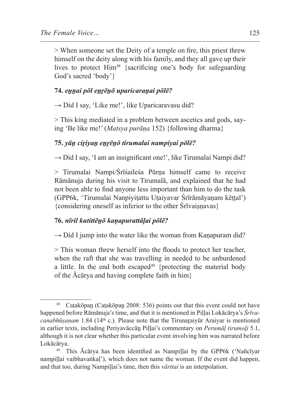> When someone set the Deity of a temple on fire, this priest threw himself on the deity along with his family, and they all gave up their lives to protect Him<sup>48</sup> {sacrificing one's body for safeguarding God's sacred 'body'}

#### **74.** *eṉṉai pōl eṉṟēṉō uparicaraṉai pōlē?*

 $\rightarrow$  Did I say, 'Like me!', like Uparicaravasu did?

> This king mediated in a problem between ascetics and gods, saying 'Be like me!' (*Matsya purāṇa* 152) {following dharma}

## **75.** *yāṉ ciṟiyaṉ eṉṟēṉō tirumalai nampiyai pōlē?*

 $\rightarrow$  Did I say, 'I am an insignificant one!', like Tirumalai Nampi did?

> Tirumalai Nampi/Śrīśaileśa Pūrṇa himself came to receive Rāmānuja during his visit to Tirumalā, and explained that he had not been able to find anyone less important than him to do the task (GPP6k, 'Tirumalai Nanpiyiṭattu Uṭaiyavar Śrīrāmāyaṇam kēṭṭal') {considering oneself as inferior to the other Śrīvaiṣṇavas}

#### **76.** *nīril kutittēṉō kaṇapurattāḷai pōlē?*

 $\rightarrow$  Did I jump into the water like the woman from Kanapuram did?

> This woman threw herself into the floods to protect her teacher, when the raft that she was travelling in needed to be unburdened a little. In the end both escaped<sup>49</sup> {protecting the material body of the Ācārya and having complete faith in him}

Caṭakōpan (Caṭakōpaṇ 2008: 536) points out that this event could not have happened before Rāmānuja's time, and that it is mentioned in Piḷḷai Lokācārya's *Śrīvacanabhūsanam* 1.84 (14<sup>th</sup> c.). Please note that the Tirunaraiyūr Araiyar is mentioned in earlier texts, including Periyavāccāṉ Piḷḷai's commentary on *Perumāḷ tirumoḻi* 5.1, although it is not clear whether this particular event involving him was narrated before Lokācārya.

This Ācārya has been identified as Nampillai by the GPP6k ('Nañcīyar nampillai vaibhavaṅkal'), which does not name the woman. If the event did happen, and that too, during Nampillai's time, then this *vārttai* is an interpolation.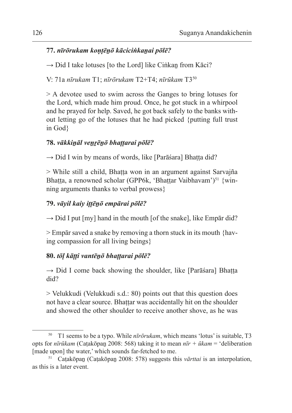## **77.** *nīrōrukam koṇṭēṉō kāciciṅkaṉai pōlē?*

 $\rightarrow$  Did I take lotuses [to the Lord] like Ciṅkan from Kāci?

V: 71a *nīrukam* T1; *nīrōrukam* T2+T4; *nīrūkam* T3<sup>50</sup>

> A devotee used to swim across the Ganges to bring lotuses for the Lord, which made him proud. Once, he got stuck in a whirpool and he prayed for help. Saved, he got back safely to the banks without letting go of the lotuses that he had picked {putting full trust in God}

## **78.** *vākkiṉāl veṉṟēṉō bhaṭṭarai pōlē?*

 $\rightarrow$  Did I win by means of words, like [Parāśara] Bhaṭṭa did?

> While still a child, Bhaṭṭa won in an argument against Sarvajña Bhatta, a renowned scholar (GPP6k, 'Bhattar Vaibhavam')<sup>51</sup> {winning arguments thanks to verbal prowess}

## **79.** *vāyil kaiy iṭṭēṉō empārai pōlē?*

 $\rightarrow$  Did I put [my] hand in the mouth [of the snake], like Empār did?

> Empār saved a snake by removing a thorn stuck in its mouth {having compassion for all living beings}

## **80.** *tōḷ kāṭṭi vantēṉō bhaṭṭarai pōlē?*

 $\rightarrow$  Did I come back showing the shoulder, like [Parāśara] Bhaṭṭa did?

> Velukkudi (Velukkudi s.d.: 80) points out that this question does not have a clear source. Bhaṭṭar was accidentally hit on the shoulder and showed the other shoulder to receive another shove, as he was

<sup>50</sup> T1 seems to be a typo. While *nīrōrukam*, which means 'lotus' is suitable, T3 opts for *nīrūkam* (Caṭakōpaṉ 2008: 568) taking it to mean *nīr + ūkam* = 'deliberation [made upon] the water,' which sounds far-fetched to me.

<sup>51</sup> Caṭakōpaṉ (Caṭakōpaṉ 2008: 578) suggests this *vārttai* is an interpolation, as this is a later event.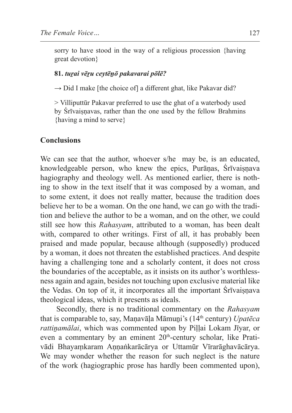sorry to have stood in the way of a religious procession {having great devotion}

#### **81.** *tuṟai vēṟu ceytēṉō pakavarai pōlē?*

 $\rightarrow$  Did I make [the choice of] a different ghat, like Pakavar did?

> Villiputtūr Pakavar preferred to use the ghat of a waterbody used by Srīvaisnavas, rather than the one used by the fellow Brahmins {having a mind to serve}

### **Conclusions**

We can see that the author, whoever s/he may be, is an educated, knowledgeable person, who knew the epics, Purānas, Śrīvaisnava hagiography and theology well. As mentioned earlier, there is nothing to show in the text itself that it was composed by a woman, and to some extent, it does not really matter, because the tradition does believe her to be a woman. On the one hand, we can go with the tradition and believe the author to be a woman, and on the other, we could still see how this *Rahasyam*, attributed to a woman, has been dealt with, compared to other writings. First of all, it has probably been praised and made popular, because although (supposedly) produced by a woman, it does not threaten the established practices. And despite having a challenging tone and a scholarly content, it does not cross the boundaries of the acceptable, as it insists on its author's worthlessness again and again, besides not touching upon exclusive material like the Vedas. On top of it, it incorporates all the important Śrīvaiṣṇava theological ideas, which it presents as ideals.

Secondly, there is no traditional commentary on the *Rahasyam*  that is comparable to, say, Maṇavāḷa Māmuṉi's (14th century) *Upatēca rattinamālai*, which was commented upon by Pillai Lokam Jīyar, or even a commentary by an eminent 20<sup>th</sup>-century scholar, like Prativādi Bhayaṃkaram Aṇṇaṅkarācārya or Uttamūr Vīrarāghavācārya. We may wonder whether the reason for such neglect is the nature of the work (hagiographic prose has hardly been commented upon),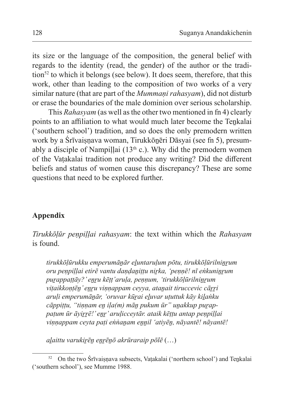its size or the language of the composition, the general belief with regards to the identity (read, the gender) of the author or the tradition<sup>52</sup> to which it belongs (see below). It does seem, therefore, that this work, other than leading to the composition of two works of a very similar nature (that are part of the *Mummani rahasyam*), did not disturb or erase the boundaries of the male dominion over serious scholarship.

This *Rahasyam* (as well as the other two mentioned in fn 4) clearly points to an affiliation to what would much later become the Tenkalai ('southern school') tradition, and so does the only premodern written work by a Śrīvaisnava woman, Tirukkōnēri Dāsyai (see fn 5), presumably a disciple of Nampillai ( $13<sup>th</sup>$  c.). Why did the premodern women of the Vaṭakalai tradition not produce any writing? Did the different beliefs and status of women cause this discrepancy? These are some questions that need to be explored further.

## **Appendix**

*Tirukkōḷūr peṇpiḷḷai rahasyam*: the text within which the *Rahasyam*  is found.

*tirukkōḷūrukku emperumāṉār eḻuntaruḷum pōtu, tirukkōḷūrilniṉṟum oru peṇpiḷḷai etirē vantu daṇḍaṉiṭṭu niṟka, 'peṇṇē! nī eṅkuniṉṟum puṟappaṭṭāy?' eṉṟu kēṭṭ'aruḷa, peṇṇum, 'tirukkōḷūrilniṉṟum viṭaikkoṇṭēṉ' eṉṟu viṇṇappam ceyya, ataṉait tiruccevic cāṟṟi aruḷi emperumāṉār, 'oruvar kūṟai eḻuvar uṭuttuk kāy kiḻaṅku cāppiṭṭu, "tiṇṇam eṉ iḷa(m) māṉ pukum ūr" uṉakkup puṟappaṭum ūr āyiṟṟē!' eṉṟ' aruḷicceytār. ataik kēṭṭu antap peṇpiḷḷai viṇṇappam ceyta paṭi eṅṅaṉam eṉṉil 'atiyēṉ, nāyantē! nāyantē!*

*aḻaittu varukiṟēṉ eṉṟēṉō akrūraraip pōlē* (…)

<sup>&</sup>lt;sup>52</sup> On the two Śrīvaisnava subsects, Vaṭakalai ('northern school') and Tenkalai ('southern school'), see Mumme 1988.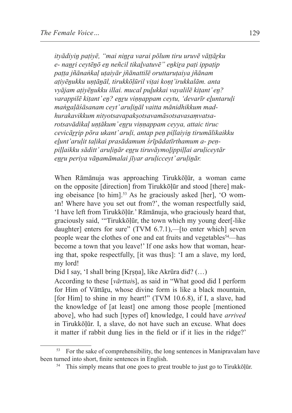*ityādiyiṉ paṭiyē, "mai niṉṟa varai pōlum tiru uruvē vāṭṭāṟku e- naṉṟi ceytēṉō eṉ neñcil tikaḻvatuvē" eṉkiṟa paṭi ippaṭip paṭṭa jñānaṅkaḷ uṭaiyār jñānattilē oruttaruṭaiya jñānam aṭiyēṉukku uṇṭāṉāl, tirukkōḷūril viṭai koṇṭ'irukkalām. anta vyājam aṭiyēṉukku illai. mucal puḻukkai vayalilē kiṭant' eṉ? varappilē kiṭant' eṉ? eṉṟu viṇṇappam ceytu, 'devarīr eḻuntaruḷi maṅgaḷāśāsanam ceyt' aruḷiṉāl vaitta mānidhikkum madhurakavikkum nityotsavapakṣotsavamāsotsavasaṃvatsarotsavādikaḷ uṇṭākum' eṉṟu viṇṇappam ceyya, attaic tiruc cevicāṟṟip pōra ukant' aruḷi, antap peṇ piḷlaiyiṉ tirumālikaikku eḻunt'aruḷit taḷikai prasādamum śrīpādatīrthamum a- peṇpiḷḷaikku sāditt' aruḷiṉār eṉṟu tiruvāymoḻippiḷḷai aruḷiceytār eṉṟu periya vāṉamāmalai jīyar aruḷicceyt' aruḷiṉār.* 

When Rāmānuja was approaching Tirukkōḷūr, a woman came on the opposite [direction] from Tirukkōḷūr and stood [there] making obeisance  $[$  to him $]$ <sup>53</sup>. As he graciously asked  $[$ her $]$ , 'O woman! Where have you set out from?', the woman respectfully said, 'I have left from Tirukkōḷūr.' Rāmānuja, who graciously heard that, graciously said, '"Tirukkōḷūr, the town which my young deer[-like daughter] enters for sure" (TVM 6.7.1),—[to enter which] seven people wear the clothes of one and eat fruits and vegetables<sup>54</sup>—has become a town that you leave!' If one asks how that woman, hearing that, spoke respectfully, [it was thus]: 'I am a slave, my lord, my lord!

Did I say, 'I shall bring [Kṛṣṇa], like Akrūra did? (…)

According to these [*vārttai*s], as said in "What good did I perform for Him of Vāttāru, whose divine form is like a black mountain, [for Him] to shine in my heart!" (TVM 10.6.8), if I, a slave, had the knowledge of [at least] one among those people [mentioned above], who had such [types of] knowledge, I could have *arrived* in Tirukkōḷūr. I, a slave, do not have such an excuse. What does it matter if rabbit dung lies in the field or if it lies in the ridge?'

<sup>53</sup> For the sake of comprehensibility, the long sentences in Manipravalam have been turned into short, finite sentences in English.

<sup>&</sup>lt;sup>54</sup> This simply means that one goes to great trouble to just go to Tirukkōlūr.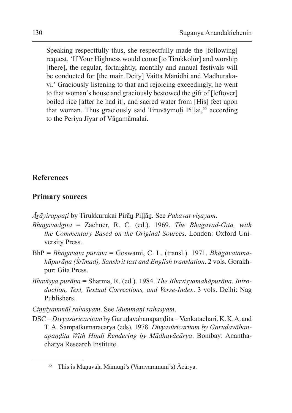Speaking respectfully thus, she respectfully made the [following] request, 'If Your Highness would come [to Tirukkōḷūr] and worship [there], the regular, fortnightly, monthly and annual festivals will be conducted for [the main Deity] Vaitta Mānidhi and Madhurakavi.' Graciously listening to that and rejoicing exceedingly, he went to that woman's house and graciously bestowed the gift of [leftover] boiled rice [after he had it], and sacred water from [His] feet upon that woman. Thus graciously said Tiruvāymoli Pillai,<sup>55</sup> according to the Periya Jīyar of Vānamāmalai.

#### **References**

### **Primary sources**

- *Āṟāyirappaṭi* by Tirukkurukai Pirāṉ Piḷḷāṉ. See *Pakavat viṣayam*.
- *Bhagavadgītā* = Zaehner, R. C. (ed.). 1969. *The Bhagavad-Gītā, with the Commentary Based on the Original Sources*. London: Oxford University Press.
- BhP = *Bhāgavata purāṇa* = Goswami, C. L. (transl.). 1971. *Bhāgavatamahāpurāṇa (Śrīmad), Sanskrit text and English translation*. 2 vols. Gorakhpur: Gita Press.
- *Bhaviṣya purāṇa* = Sharma, R. (ed.). 1984. *The Bhaviṣyamahāpurāṇa*. *Introduction, Text, Textual Corrections, and Verse-Index*. 3 vols. Delhi: Nag Publishers.

*Ciṉṉiyammāḷ rahasyam*. See *Mummaṇi rahasyam*.

DSC = *Divyasūricaritam* by Garuḍavāhanapaṇḍita = Venkatachari, K. K. A. and T. A. Sampatkumaracarya (eds). 1978. *Divyasūricaritam by Garuḍavāhanapaṇḍita With Hindi Rendering by Mādhavācārya*. Bombay: Ananthacharya Research Institute.

<sup>&</sup>lt;sup>55</sup> This is Manavāla Māmuni's (Varavaramuni's) Ācārya.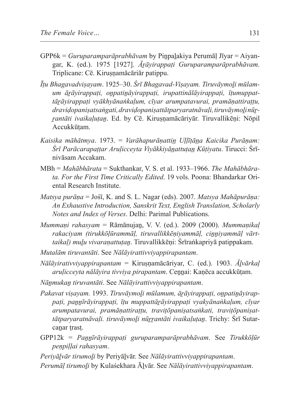- GPP6k = *Guruparamparāprabhāvam* by Piṉpaḻakiya Perumāḷ Jīyar = Aiyangar, K. (ed.). 1975 [1927]. *Āṟāyirappaṭi Guruparamparāprabhāvam*. Triplicane: Cē. Kiruṣṇamācāriār patippu.
- *Īṭu Bhagavadviṣayam*. 1925–30. *Śrī Bhagavad-Viṣayam. Tiruvāymoḻi mūlamum āṟāyirappaṭi, oṉpatiṉāyirappaṭi, irupattinālāyirappaṭi, īṭumuppattāṟāyirappaṭi vyākhyānaṅkaḷum, cīyar arumpatavurai, pramāṇattiraṭṭu, draviḍopaniṣatsaṅgati, draviḍopaniṣattātparyaratnāvaḷi, tiruvāymoḻi nūṟṟantāti ivaikaḷuṭaṉ*. Ed. by Cē. Kiruṣṇamācāriyār. Tiruvallikēṇi: Nōpil Accukkūṭam.
- *Kaisika māhātmya*. 1973. = *Varāhapurāṇattin̲ Uḷḷīṭān̲a Kaicika Purāṇam: Śrī Parācarapaṭṭar Aruḷicceyta Viyākkiyān̲attuṭan̲ Kūṭiyatu*. Tirucci: Śrīnivāsam Accakam.
- MBh = *Mahābhārata* = Sukthankar, V. S. et al. 1933–1966. *The Mahābhārata. For the First Time Critically Edited*. 19 vols. Poona: Bhandarkar Oriental Research Institute.
- *Matsya purāṇa* = Jośī, K. and S. L. Nagar (eds). 2007. *Matsya Mahāpurāṇa: An Exhaustive Introduction, Sanskrit Text, English Translation, Scholarly Notes and Index of Verses*. Delhi: Parimal Publications.
- *Mummaṇi rahasyam* = Rāmānujaṉ, V. V. (ed.). 2009 (2000). *Mummaṇikaḷ rakaciyam (tirukkōḷūrammāḷ, tiruvallikkēṇiyammāḷ, ciṉṉiyammāḷ vārttaikaḷ) muḻu vivaraṇattuṭaṉ*. Tiruvallikkēṇi: Śrīraṅkapriyā patippakam.
- *Mutalām tiruvantāti*. See *Nālāyirattivviyappirapantam*.
- *Nālāyirativviyappirapantam* = Kiruṣṇamācāriyar, C. (ed.). 1903. *Āḻvārkaḷ aruḷicceyta nālāyira tivviya pirapantam*. Ceṉṉai: Kaṇēca accukkūṭam.
- *Nāṉmukaṉ tiruvantāti*. See *Nālāyirattivviyappirapantam*.
- *Pakavat viṣayam.* 1993. *Tiruvāymoḻi mūlamum, āṟāyirappaṭi, oṉpatiṉāyirappaṭi, paṉṉīrāyirappaṭi, īṭu muppattāṟāyirappaṭi vyakyānaṅkaḷum, cīyar arumpatavurai, pramāṇattiraṭṭu, traviṭōpaniṣatsaṅkati, traviṭōpaniṣattātparyaratnāvaḷi. tiruvāymoḻi nūṟṟantāti ivaikaḷuṭaṉ*. Trichy: Śrī Sutarcanar trast.
- GPP12k = *Paṉṉīrāyirappaṭi guruparamparāprabhāvam*. See *Tirukkōḷūr peṇpiḷḷai rahasyam*.

*Periyāḻvār tirumoḻi* by Periyāḻvār. See *Nālāyirattivviyappirapantam*.

*Perumāḷ tirumoḻi* by Kulaśekhara Āḻvār. See *Nālāyirattivviyappirapantam*.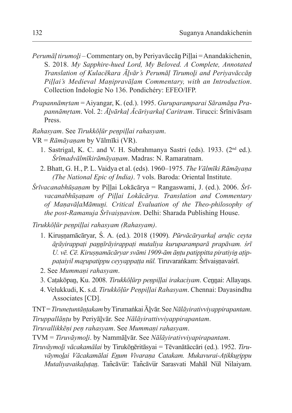- *Perumāḷ tirumoḻi* Commentary on, by Periyavāccāṉ Piḷḷai = Anandakichenin, S. 2018. *My Sapphire-hued Lord, My Beloved. A Complete, Annotated Translation of Kulacēkara Āḻvār's Perumāḷ Tirumoḻi and Periyavāccāṉ Piḷḷai's Medieval Maṇipravāḷam Commentary, with an Introduction*. Collection Indologie No 136. Pondichéry: EFEO/IFP.
- *Prapannāmṛtam* = Aiyangar, K. (ed.). 1995. *Guruparamparai Sāramāṉa Prapannāmṛtam*. Vol. 2: *Āḻvārkaḷ Ācāriyarkaḷ Caritram*. Tirucci: Śrīnivāsam Press.
- *Rahasyam*. See *Tirukkōḷūr peṇpiḷḷai rahasyam*.
- VR = *Rāmāyaṇam* by Vālmīki (VR).
	- 1. Sastrigal, K. C. and V. H. Subrahmanya Sastri (eds). 1933. (2nd ed.). *Śrīmadvālmīkirāmāyaṇam*. Madras: N. Ramaratnam.
	- 2. Bhatt, G. H., P. L. Vaidya et al. (eds). 1960–1975. *The Vālmīki Rāmāyaṇa (The National Epic of India)*. 7 vols. Baroda: Oriental Institute.
- *Śrīvacanabhūṣaṇam* by Piḷḷai Lokācārya = Rangaswami, J. (ed.). 2006. *Śrīvacanabhūṣaṇam of Piḷḷai Lokācārya. Translation and Commentary of MaṇavāḷaMāmuṉi. Critical Evaluation of the Theo-philosophy of the post-Ramanuja Śrīvaiṣṇavism*. Delhi: Sharada Publishing House.

*Tirukkōḷūr peṇpiḷḷai rahasyam (Rahasyam)*.

- 1. Kiruṣṇamācāryar, Ś. A. (ed.). 2018 (1909). *Pūrvācāryarkaḷ aruḷic ceyta āṟāyirappaṭi paṉṉīrāyirappaṭi mutaliya kuruparamparā prapāvam. śrī U. vē. Cē. Kiruṣṇamācāryar svāmi 1909-ām āṇṭu patippitta piratiyiṉ aṭippaṭaiyil maṟupatippu ceyyappaṭṭa nūl.* Tiruvaraṅkam: Śrīvaiṣṇavaśrī.
- 2. See *Mummaṇi rahasyam*.
- 3. Catakōpan, Ku. 2008. *Tirukkōļūrp penpillai irakaciyam*. Cennai: Allayans.
- 4. Velukkudi, K. s.d. *Tirukkōḷūr Peṇpiḷḷai Rahasyam*. Chennai: Dayasindhu Associates [CD].

TNT = *Tiruneṭuntāṇṭakam* byTirumaṅkai Āḻvār. See *Nālāyirativviyappirapantam*. *Tiruppallāṇṭu* by Periyāḻvār. See *Nālāyirattivviyappirapantam*.

*Tiruvallikkēṇi peṇ rahasyam*. See *Mummaṇi rahasyam*.

TVM = *Tiruvāymoḻi*. by Nammāḻvār. See *Nālāyirativviyapirapantam*.

*Tiruvāymoḻi vācakamālai* by Tirukōn̲ēritāsyai = Tēvanātāccāri (ed.). 1952. *Tiruvāymol̲ai Vācakamālai En̲um Vivaraṇa Catakam. Mukavurai-Aṭikkur̲ippu Mutaliyavaikaḷuṭan̲*. Tan͂cāvu̅r: Tan͂cāvu̅r Sarasvati Mahāl Nu̅l Nilaiyam.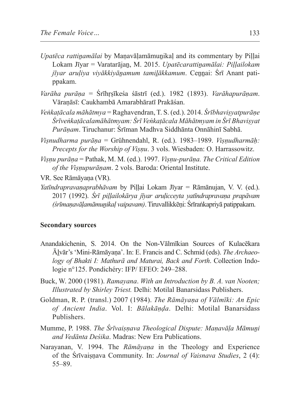- *Upatēca rattiṉamālai* by Maṇavāḷamāmuṉikaḷ and its commentary by Piḷḷai Lokam Jīyar = Varatarājaṉ, M. 2015. *Upatēcarattiṉamālai: Piḷḷailokam jīyar aruḷiya viyākkiyāṉamum tamiḻākkamum*. Ceṉṉai: Śrī Anant patippakam.
- *Varāha purāṇa* = Śrīhṛṣīkeśa śāstrī (ed.). 1982 (1893). *Varāhapurāṇam*. Vāraṇāsī: Caukhambā Amarabhāratī Prakāśan.
- *Veṅkaṭācala māhātmya* = Raghavendran, T. S. (ed.). 2014. *Śrībhaviṣyatpurāṇe Śrīveṅkaṭācalamāhātmyam: Śrī Veṅkaṭācala Māhātmyam in Śrī Bhaviṣyat Purāṇam*. Tiruchanur: Śrīman Madhva Siddhānta Onnāhinī Sabhā.
- *Viṣnudharma purāṇa* = Grühnendahl, R. (ed.). 1983–1989. *Viṣṇudharmāḥ: Precepts for the Worship of Viṣṇu*. 3 vols. Wiesbaden: O. Harrassowitz.
- *Viṣṇu purāṇa* = Pathak, M. M. (ed.). 1997. *Viṣṇu-purāṇa. The Critical Edition of the Viṣṇupurāṇam*. 2 vols. Baroda: Oriental Institute.
- VR. See Rāmāyaṇa (VR).
- *Yatīndrapravaṇaprabhāvam* by Piḷḷai Lokam Jīyar = Rāmānujan, V. V. (ed.). 2017 (1992). *Śrī piḷḷailokārya jīyar aruḷicceyta yatīndrapravaṇa prapāvam (śrīmaṇavāḷamāmuṉikaḷ vaipavam)*. Tiruvallikkēṇi: Śrīraṅkapriyā patippakam.

#### **Secondary sources**

- Anandakichenin, S. 2014. On the Non-Vālmīkian Sources of Kulacēkara Āḻvār's 'Mini-Rāmāyaṇa'. In: E. Francis and C. Schmid (eds). *The Archaeology of Bhakti I: Mathurā and Maturai, Back and Forth*. Collection Indologie n°125. Pondichéry: IFP/ EFEO: 249–288.
- Buck, W. 2000 (1981). *Ramayana*. *With an Introduction by B. A. van Nooten; Illustrated by Shirley Triest.* Delhi: Motilal Banarsidass Publishers.
- Goldman, R. P. (transl.) 2007 (1984). *The Rāmāyaṇa of Vālmīki: An Epic of Ancient India*. Vol. I: *Bālakāṇḍa*. Delhi: Motilal Banarsidass Publishers.
- Mumme, P. 1988. *The Śrīvaiṣṇava Theological Dispute: Maṇavāḷa Māmuṉi and Vedānta Deśika*. Madras: New Era Publications.
- Narayanan, V. 1994. The *Rāmāyaṇa* in the Theology and Experience of the Śrīvaiṣṇava Community. In: *Journal of Vaisnava Studies*, 2 (4): 55–89.